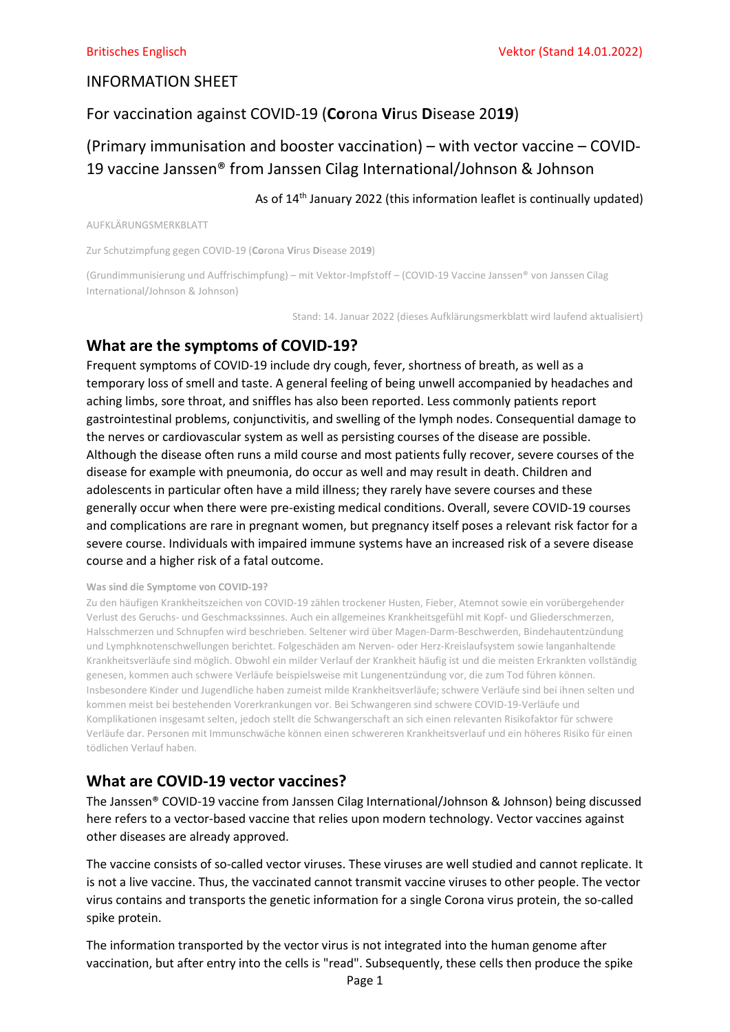## INFORMATION SHEET

## For vaccination against COVID-19 (Corona Virus Disease 2019)

# (Primary immunisation and booster vaccination) – with vector vaccine – COVID-19 vaccine Janssen® from Janssen Cilag International/Johnson & Johnson

## As of 14<sup>th</sup> January 2022 (this information leaflet is continually updated)

AUFKLÄRUNGSMERKBLATT

Zur Schutzimpfung gegen COVID-19 (Corona Virus Disease 2019)

(Grundimmunisierung und Auffrischimpfung) – mit Vektor-Impfstoff – (COVID-19 Vaccine Janssen® von Janssen Cilag International/Johnson & Johnson)

Stand: 14. Januar 2022 (dieses Aufklärungsmerkblatt wird laufend aktualisiert)

## What are the symptoms of COVID-19?

Frequent symptoms of COVID-19 include dry cough, fever, shortness of breath, as well as a temporary loss of smell and taste. A general feeling of being unwell accompanied by headaches and aching limbs, sore throat, and sniffles has also been reported. Less commonly patients report gastrointestinal problems, conjunctivitis, and swelling of the lymph nodes. Consequential damage to the nerves or cardiovascular system as well as persisting courses of the disease are possible. Although the disease often runs a mild course and most patients fully recover, severe courses of the disease for example with pneumonia, do occur as well and may result in death. Children and adolescents in particular often have a mild illness; they rarely have severe courses and these generally occur when there were pre-existing medical conditions. Overall, severe COVID-19 courses and complications are rare in pregnant women, but pregnancy itself poses a relevant risk factor for a severe course. Individuals with impaired immune systems have an increased risk of a severe disease course and a higher risk of a fatal outcome.

### Was sind die Symptome von COVID-19?

Zu den häufigen Krankheitszeichen von COVID-19 zählen trockener Husten, Fieber, Atemnot sowie ein vorübergehender Verlust des Geruchs- und Geschmackssinnes. Auch ein allgemeines Krankheitsgefühl mit Kopf- und Gliederschmerzen, Halsschmerzen und Schnupfen wird beschrieben. Seltener wird über Magen-Darm-Beschwerden, Bindehautentzündung und Lymphknotenschwellungen berichtet. Folgeschäden am Nerven- oder Herz-Kreislaufsystem sowie langanhaltende Krankheitsverläufe sind möglich. Obwohl ein milder Verlauf der Krankheit häufig ist und die meisten Erkrankten vollständig genesen, kommen auch schwere Verläufe beispielsweise mit Lungenentzündung vor, die zum Tod führen können. Insbesondere Kinder und Jugendliche haben zumeist milde Krankheitsverläufe; schwere Verläufe sind bei ihnen selten und kommen meist bei bestehenden Vorerkrankungen vor. Bei Schwangeren sind schwere COVID-19-Verläufe und Komplikationen insgesamt selten, jedoch stellt die Schwangerschaft an sich einen relevanten Risikofaktor für schwere Verläufe dar. Personen mit Immunschwäche können einen schwereren Krankheitsverlauf und ein höheres Risiko für einen tödlichen Verlauf haben.

## What are COVID-19 vector vaccines?

The Janssen® COVID-19 vaccine from Janssen Cilag International/Johnson & Johnson) being discussed here refers to a vector-based vaccine that relies upon modern technology. Vector vaccines against other diseases are already approved.

The vaccine consists of so-called vector viruses. These viruses are well studied and cannot replicate. It is not a live vaccine. Thus, the vaccinated cannot transmit vaccine viruses to other people. The vector virus contains and transports the genetic information for a single Corona virus protein, the so-called spike protein.

The information transported by the vector virus is not integrated into the human genome after vaccination, but after entry into the cells is "read". Subsequently, these cells then produce the spike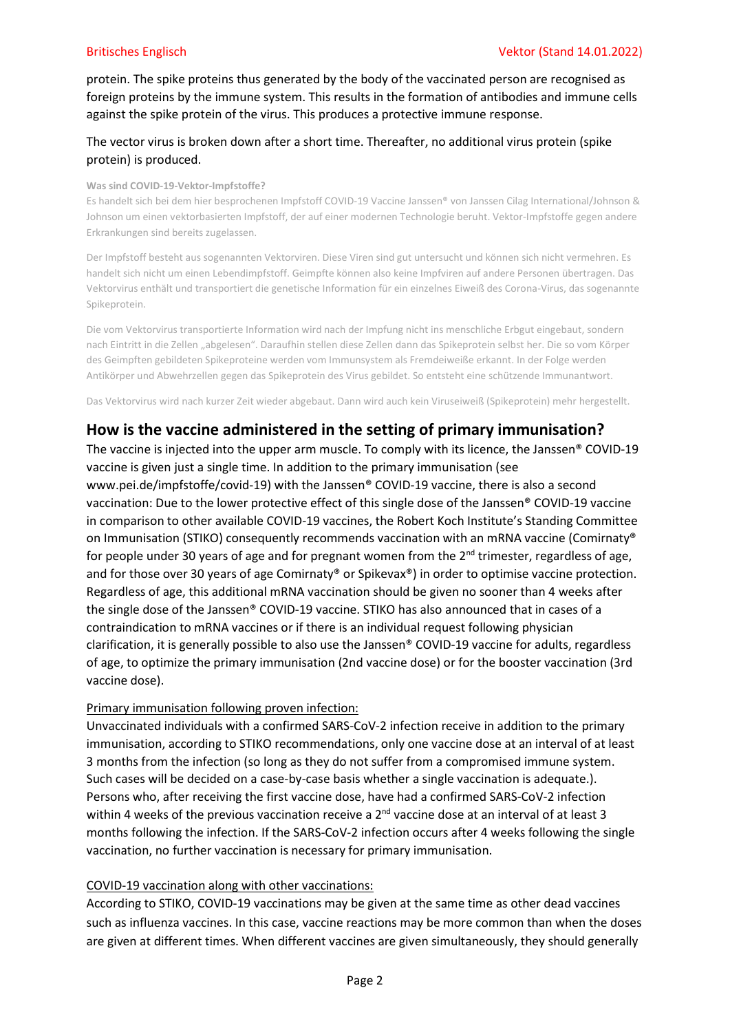protein. The spike proteins thus generated by the body of the vaccinated person are recognised as foreign proteins by the immune system. This results in the formation of antibodies and immune cells against the spike protein of the virus. This produces a protective immune response.

## The vector virus is broken down after a short time. Thereafter, no additional virus protein (spike protein) is produced.

### Was sind COVID-19-Vektor-Impfstoffe?

Es handelt sich bei dem hier besprochenen Impfstoff COVID-19 Vaccine Janssen® von Janssen Cilag International/Johnson & Johnson um einen vektorbasierten Impfstoff, der auf einer modernen Technologie beruht. Vektor-Impfstoffe gegen andere Erkrankungen sind bereits zugelassen.

Der Impfstoff besteht aus sogenannten Vektorviren. Diese Viren sind gut untersucht und können sich nicht vermehren. Es handelt sich nicht um einen Lebendimpfstoff. Geimpfte können also keine Impfviren auf andere Personen übertragen. Das Vektorvirus enthält und transportiert die genetische Information für ein einzelnes Eiweiß des Corona-Virus, das sogenannte Spikeprotein.

Die vom Vektorvirus transportierte Information wird nach der Impfung nicht ins menschliche Erbgut eingebaut, sondern nach Eintritt in die Zellen "abgelesen". Daraufhin stellen diese Zellen dann das Spikeprotein selbst her. Die so vom Körper des Geimpften gebildeten Spikeproteine werden vom Immunsystem als Fremdeiweiße erkannt. In der Folge werden Antikörper und Abwehrzellen gegen das Spikeprotein des Virus gebildet. So entsteht eine schützende Immunantwort.

Das Vektorvirus wird nach kurzer Zeit wieder abgebaut. Dann wird auch kein Viruseiweiß (Spikeprotein) mehr hergestellt.

## How is the vaccine administered in the setting of primary immunisation?

The vaccine is injected into the upper arm muscle. To comply with its licence, the Janssen® COVID-19 vaccine is given just a single time. In addition to the primary immunisation (see

www.pei.de/impfstoffe/covid-19) with the Janssen® COVID-19 vaccine, there is also a second vaccination: Due to the lower protective effect of this single dose of the Janssen® COVID-19 vaccine in comparison to other available COVID-19 vaccines, the Robert Koch Institute's Standing Committee on Immunisation (STIKO) consequently recommends vaccination with an mRNA vaccine (Comirnaty® for people under 30 years of age and for pregnant women from the  $2<sup>nd</sup>$  trimester, regardless of age, and for those over 30 years of age Comirnaty<sup>®</sup> or Spikevax<sup>®</sup>) in order to optimise vaccine protection. Regardless of age, this additional mRNA vaccination should be given no sooner than 4 weeks after the single dose of the Janssen® COVID-19 vaccine. STIKO has also announced that in cases of a contraindication to mRNA vaccines or if there is an individual request following physician clarification, it is generally possible to also use the Janssen® COVID-19 vaccine for adults, regardless of age, to optimize the primary immunisation (2nd vaccine dose) or for the booster vaccination (3rd vaccine dose).

## Primary immunisation following proven infection:

Unvaccinated individuals with a confirmed SARS-CoV-2 infection receive in addition to the primary immunisation, according to STIKO recommendations, only one vaccine dose at an interval of at least 3 months from the infection (so long as they do not suffer from a compromised immune system. Such cases will be decided on a case-by-case basis whether a single vaccination is adequate.). Persons who, after receiving the first vaccine dose, have had a confirmed SARS-CoV-2 infection within 4 weeks of the previous vaccination receive a 2<sup>nd</sup> vaccine dose at an interval of at least 3 months following the infection. If the SARS-CoV-2 infection occurs after 4 weeks following the single vaccination, no further vaccination is necessary for primary immunisation.

## COVID-19 vaccination along with other vaccinations:

According to STIKO, COVID-19 vaccinations may be given at the same time as other dead vaccines such as influenza vaccines. In this case, vaccine reactions may be more common than when the doses are given at different times. When different vaccines are given simultaneously, they should generally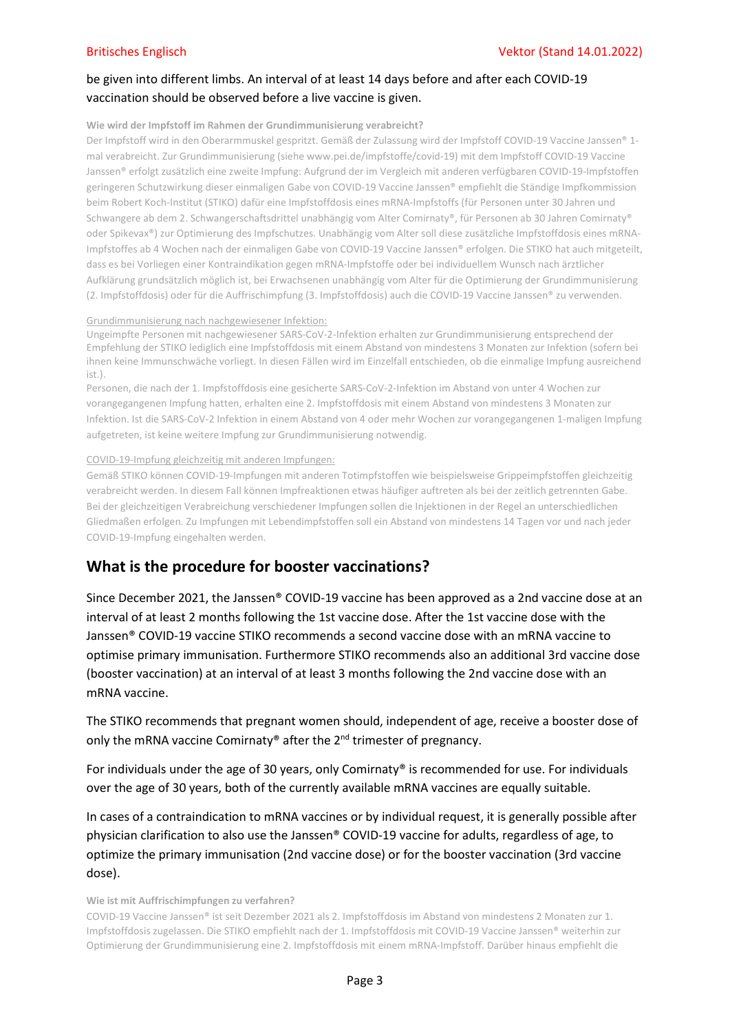## be given into different limbs. An interval of at least 14 days before and after each COVID-19 vaccination should be observed before a live vaccine is given.

### Wie wird der Impfstoff im Rahmen der Grundimmunisierung verabreicht?

Der Impfstoff wird in den Oberarmmuskel gespritzt. Gemäß der Zulassung wird der Impfstoff COVID-19 Vaccine Janssen® 1 mal verabreicht. Zur Grundimmunisierung (siehe www.pei.de/impfstoffe/covid-19) mit dem Impfstoff COVID-19 Vaccine Janssen® erfolgt zusätzlich eine zweite Impfung: Aufgrund der im Vergleich mit anderen verfügbaren COVID-19-Impfstoffen geringeren Schutzwirkung dieser einmaligen Gabe von COVID-19 Vaccine Janssen® empfiehlt die Ständige Impfkommission beim Robert Koch-Institut (STIKO) dafür eine Impfstoffdosis eines mRNA-Impfstoffs (für Personen unter 30 Jahren und Schwangere ab dem 2. Schwangerschaftsdrittel unabhängig vom Alter Comirnaty®, für Personen ab 30 Jahren Comirnaty® oder Spikevax®) zur Optimierung des Impfschutzes. Unabhängig vom Alter soll diese zusätzliche Impfstoffdosis eines mRNA-Impfstoffes ab 4 Wochen nach der einmaligen Gabe von COVID-19 Vaccine Janssen® erfolgen. Die STIKO hat auch mitgeteilt, dass es bei Vorliegen einer Kontraindikation gegen mRNA-Impfstoffe oder bei individuellem Wunsch nach ärztlicher Aufklärung grundsätzlich möglich ist, bei Erwachsenen unabhängig vom Alter für die Optimierung der Grundimmunisierung (2. Impfstoffdosis) oder für die Auffrischimpfung (3. Impfstoffdosis) auch die COVID-19 Vaccine Janssen® zu verwenden.

### Grundimmunisierung nach nachgewiesener Infektion:

Ungeimpfte Personen mit nachgewiesener SARS-CoV-2-Infektion erhalten zur Grundimmunisierung entsprechend der Empfehlung der STIKO lediglich eine Impfstoffdosis mit einem Abstand von mindestens 3 Monaten zur Infektion (sofern bei ihnen keine Immunschwäche vorliegt. In diesen Fällen wird im Einzelfall entschieden, ob die einmalige Impfung ausreichend ist.).

Personen, die nach der 1. Impfstoffdosis eine gesicherte SARS-CoV-2-Infektion im Abstand von unter 4 Wochen zur vorangegangenen Impfung hatten, erhalten eine 2. Impfstoffdosis mit einem Abstand von mindestens 3 Monaten zur Infektion. Ist die SARS-CoV-2 Infektion in einem Abstand von 4 oder mehr Wochen zur vorangegangenen 1-maligen Impfung aufgetreten, ist keine weitere Impfung zur Grundimmunisierung notwendig.

### COVID-19-Impfung gleichzeitig mit anderen Impfungen:

Gemäß STIKO können COVID-19-Impfungen mit anderen Totimpfstoffen wie beispielsweise Grippeimpfstoffen gleichzeitig verabreicht werden. In diesem Fall können Impfreaktionen etwas häufiger auftreten als bei der zeitlich getrennten Gabe. Bei der gleichzeitigen Verabreichung verschiedener Impfungen sollen die Injektionen in der Regel an unterschiedlichen Gliedmaßen erfolgen. Zu Impfungen mit Lebendimpfstoffen soll ein Abstand von mindestens 14 Tagen vor und nach jeder COVID-19-Impfung eingehalten werden.

# What is the procedure for booster vaccinations?

Since December 2021, the Janssen® COVID-19 vaccine has been approved as a 2nd vaccine dose at an interval of at least 2 months following the 1st vaccine dose. After the 1st vaccine dose with the Janssen® COVID-19 vaccine STIKO recommends a second vaccine dose with an mRNA vaccine to optimise primary immunisation. Furthermore STIKO recommends also an additional 3rd vaccine dose (booster vaccination) at an interval of at least 3 months following the 2nd vaccine dose with an mRNA vaccine.

The STIKO recommends that pregnant women should, independent of age, receive a booster dose of only the mRNA vaccine Comirnaty® after the  $2^{nd}$  trimester of pregnancy.

For individuals under the age of 30 years, only Comirnaty® is recommended for use. For individuals over the age of 30 years, both of the currently available mRNA vaccines are equally suitable.

In cases of a contraindication to mRNA vaccines or by individual request, it is generally possible after physician clarification to also use the Janssen® COVID-19 vaccine for adults, regardless of age, to optimize the primary immunisation (2nd vaccine dose) or for the booster vaccination (3rd vaccine dose).

Wie ist mit Auffrischimpfungen zu verfahren?

COVID-19 Vaccine Janssen® ist seit Dezember 2021 als 2. Impfstoffdosis im Abstand von mindestens 2 Monaten zur 1. Impfstoffdosis zugelassen. Die STIKO empfiehlt nach der 1. Impfstoffdosis mit COVID-19 Vaccine Janssen® weiterhin zur Optimierung der Grundimmunisierung eine 2. Impfstoffdosis mit einem mRNA-Impfstoff. Darüber hinaus empfiehlt die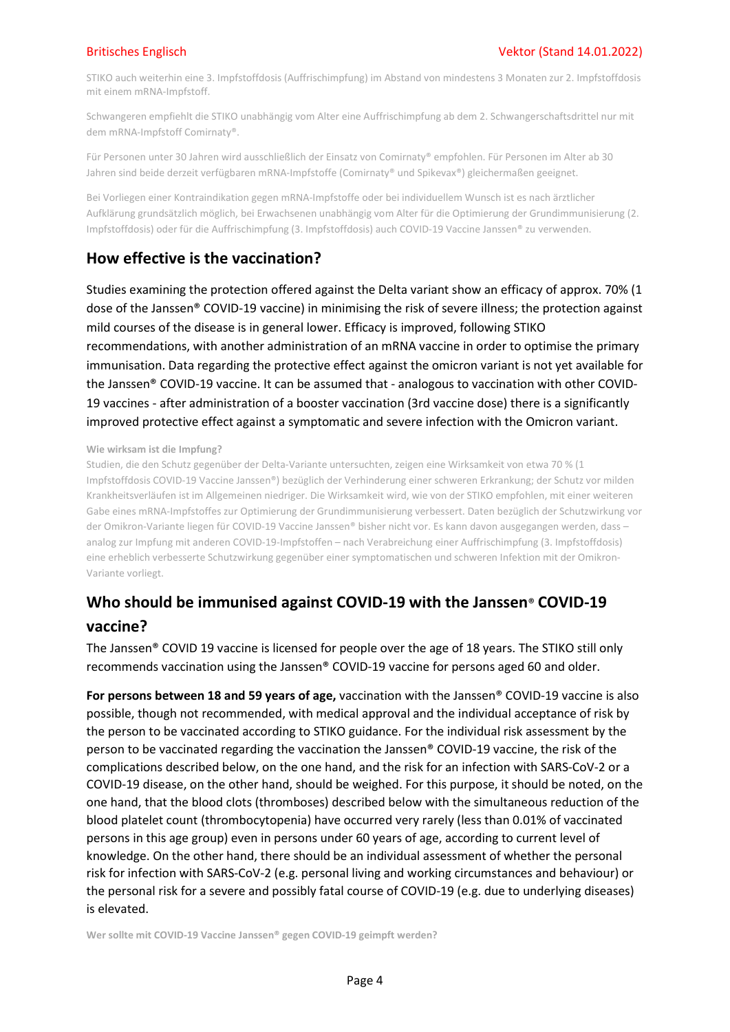STIKO auch weiterhin eine 3. Impfstoffdosis (Auffrischimpfung) im Abstand von mindestens 3 Monaten zur 2. Impfstoffdosis mit einem mRNA-Impfstoff.

Schwangeren empfiehlt die STIKO unabhängig vom Alter eine Auffrischimpfung ab dem 2. Schwangerschaftsdrittel nur mit dem mRNA-Impfstoff Comirnaty®.

Für Personen unter 30 Jahren wird ausschließlich der Einsatz von Comirnaty® empfohlen. Für Personen im Alter ab 30 Jahren sind beide derzeit verfügbaren mRNA-Impfstoffe (Comirnaty® und Spikevax®) gleichermaßen geeignet.

Bei Vorliegen einer Kontraindikation gegen mRNA-Impfstoffe oder bei individuellem Wunsch ist es nach ärztlicher Aufklärung grundsätzlich möglich, bei Erwachsenen unabhängig vom Alter für die Optimierung der Grundimmunisierung (2. Impfstoffdosis) oder für die Auffrischimpfung (3. Impfstoffdosis) auch COVID-19 Vaccine Janssen® zu verwenden.

## How effective is the vaccination?

Studies examining the protection offered against the Delta variant show an efficacy of approx. 70% (1 dose of the Janssen® COVID-19 vaccine) in minimising the risk of severe illness; the protection against mild courses of the disease is in general lower. Efficacy is improved, following STIKO recommendations, with another administration of an mRNA vaccine in order to optimise the primary immunisation. Data regarding the protective effect against the omicron variant is not yet available for the Janssen® COVID-19 vaccine. It can be assumed that - analogous to vaccination with other COVID-19 vaccines - after administration of a booster vaccination (3rd vaccine dose) there is a significantly improved protective effect against a symptomatic and severe infection with the Omicron variant.

### Wie wirksam ist die Impfung?

Studien, die den Schutz gegenüber der Delta-Variante untersuchten, zeigen eine Wirksamkeit von etwa 70 % (1 Impfstoffdosis COVID-19 Vaccine Janssen®) bezüglich der Verhinderung einer schweren Erkrankung; der Schutz vor milden Krankheitsverläufen ist im Allgemeinen niedriger. Die Wirksamkeit wird, wie von der STIKO empfohlen, mit einer weiteren Gabe eines mRNA-Impfstoffes zur Optimierung der Grundimmunisierung verbessert. Daten bezüglich der Schutzwirkung vor der Omikron-Variante liegen für COVID-19 Vaccine Janssen® bisher nicht vor. Es kann davon ausgegangen werden, dass – analog zur Impfung mit anderen COVID-19-Impfstoffen – nach Verabreichung einer Auffrischimpfung (3. Impfstoffdosis) eine erheblich verbesserte Schutzwirkung gegenüber einer symptomatischen und schweren Infektion mit der Omikron-Variante vorliegt.

# Who should be immunised against COVID-19 with the Janssen® COVID-19 vaccine?

The Janssen® COVID 19 vaccine is licensed for people over the age of 18 years. The STIKO still only recommends vaccination using the Janssen® COVID-19 vaccine for persons aged 60 and older.

For persons between 18 and 59 years of age, vaccination with the Janssen® COVID-19 vaccine is also possible, though not recommended, with medical approval and the individual acceptance of risk by the person to be vaccinated according to STIKO guidance. For the individual risk assessment by the person to be vaccinated regarding the vaccination the Janssen® COVID-19 vaccine, the risk of the complications described below, on the one hand, and the risk for an infection with SARS-CoV-2 or a COVID-19 disease, on the other hand, should be weighed. For this purpose, it should be noted, on the one hand, that the blood clots (thromboses) described below with the simultaneous reduction of the blood platelet count (thrombocytopenia) have occurred very rarely (less than 0.01% of vaccinated persons in this age group) even in persons under 60 years of age, according to current level of knowledge. On the other hand, there should be an individual assessment of whether the personal risk for infection with SARS-CoV-2 (e.g. personal living and working circumstances and behaviour) or the personal risk for a severe and possibly fatal course of COVID-19 (e.g. due to underlying diseases) is elevated.

Wer sollte mit COVID-19 Vaccine Janssen® gegen COVID-19 geimpft werden?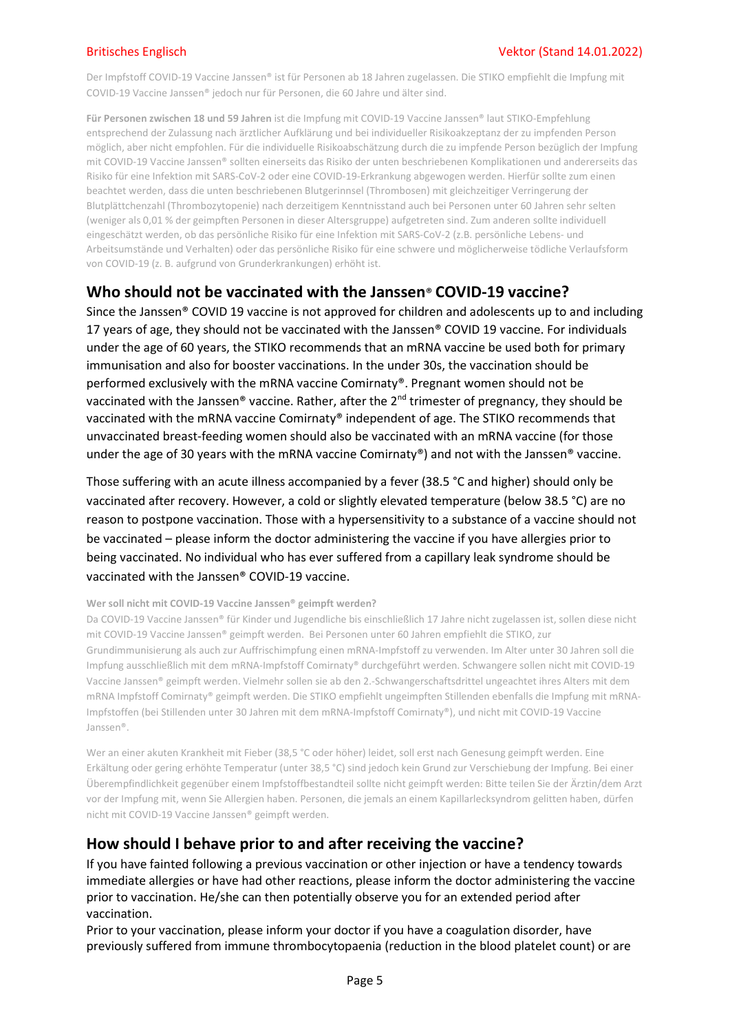Der Impfstoff COVID-19 Vaccine Janssen® ist für Personen ab 18 Jahren zugelassen. Die STIKO empfiehlt die Impfung mit COVID-19 Vaccine Janssen® jedoch nur für Personen, die 60 Jahre und älter sind.

Für Personen zwischen 18 und 59 Jahren ist die Impfung mit COVID-19 Vaccine Janssen® laut STIKO-Empfehlung entsprechend der Zulassung nach ärztlicher Aufklärung und bei individueller Risikoakzeptanz der zu impfenden Person möglich, aber nicht empfohlen. Für die individuelle Risikoabschätzung durch die zu impfende Person bezüglich der Impfung mit COVID-19 Vaccine Janssen® sollten einerseits das Risiko der unten beschriebenen Komplikationen und andererseits das Risiko für eine Infektion mit SARS-CoV-2 oder eine COVID-19-Erkrankung abgewogen werden. Hierfür sollte zum einen beachtet werden, dass die unten beschriebenen Blutgerinnsel (Thrombosen) mit gleichzeitiger Verringerung der Blutplättchenzahl (Thrombozytopenie) nach derzeitigem Kenntnisstand auch bei Personen unter 60 Jahren sehr selten (weniger als 0,01 % der geimpften Personen in dieser Altersgruppe) aufgetreten sind. Zum anderen sollte individuell eingeschätzt werden, ob das persönliche Risiko für eine Infektion mit SARS-CoV-2 (z.B. persönliche Lebens- und Arbeitsumstände und Verhalten) oder das persönliche Risiko für eine schwere und möglicherweise tödliche Verlaufsform von COVID-19 (z. B. aufgrund von Grunderkrankungen) erhöht ist.

## Who should not be vaccinated with the Janssen® COVID-19 vaccine?

Since the Janssen® COVID 19 vaccine is not approved for children and adolescents up to and including 17 years of age, they should not be vaccinated with the Janssen® COVID 19 vaccine. For individuals under the age of 60 years, the STIKO recommends that an mRNA vaccine be used both for primary immunisation and also for booster vaccinations. In the under 30s, the vaccination should be performed exclusively with the mRNA vaccine Comirnaty®. Pregnant women should not be vaccinated with the Janssen® vaccine. Rather, after the 2nd trimester of pregnancy, they should be vaccinated with the mRNA vaccine Comirnaty® independent of age. The STIKO recommends that unvaccinated breast-feeding women should also be vaccinated with an mRNA vaccine (for those under the age of 30 years with the mRNA vaccine Comirnaty®) and not with the Janssen® vaccine.

Those suffering with an acute illness accompanied by a fever (38.5 °C and higher) should only be vaccinated after recovery. However, a cold or slightly elevated temperature (below 38.5 °C) are no reason to postpone vaccination. Those with a hypersensitivity to a substance of a vaccine should not be vaccinated – please inform the doctor administering the vaccine if you have allergies prior to being vaccinated. No individual who has ever suffered from a capillary leak syndrome should be vaccinated with the Janssen® COVID-19 vaccine.

### Wer soll nicht mit COVID-19 Vaccine Janssen® geimpft werden?

Da COVID-19 Vaccine Janssen® für Kinder und Jugendliche bis einschließlich 17 Jahre nicht zugelassen ist, sollen diese nicht mit COVID-19 Vaccine Janssen® geimpft werden. Bei Personen unter 60 Jahren empfiehlt die STIKO, zur Grundimmunisierung als auch zur Auffrischimpfung einen mRNA-Impfstoff zu verwenden. Im Alter unter 30 Jahren soll die Impfung ausschließlich mit dem mRNA-Impfstoff Comirnaty® durchgeführt werden. Schwangere sollen nicht mit COVID-19 Vaccine Janssen® geimpft werden. Vielmehr sollen sie ab den 2.-Schwangerschaftsdrittel ungeachtet ihres Alters mit dem mRNA Impfstoff Comirnaty® geimpft werden. Die STIKO empfiehlt ungeimpften Stillenden ebenfalls die Impfung mit mRNA-Impfstoffen (bei Stillenden unter 30 Jahren mit dem mRNA-Impfstoff Comirnaty®), und nicht mit COVID-19 Vaccine Janssen®.

Wer an einer akuten Krankheit mit Fieber (38,5 °C oder höher) leidet, soll erst nach Genesung geimpft werden. Eine Erkältung oder gering erhöhte Temperatur (unter 38,5 °C) sind jedoch kein Grund zur Verschiebung der Impfung. Bei einer Überempfindlichkeit gegenüber einem Impfstoffbestandteil sollte nicht geimpft werden: Bitte teilen Sie der Ärztin/dem Arzt vor der Impfung mit, wenn Sie Allergien haben. Personen, die jemals an einem Kapillarlecksyndrom gelitten haben, dürfen nicht mit COVID-19 Vaccine Janssen® geimpft werden.

## How should I behave prior to and after receiving the vaccine?

If you have fainted following a previous vaccination or other injection or have a tendency towards immediate allergies or have had other reactions, please inform the doctor administering the vaccine prior to vaccination. He/she can then potentially observe you for an extended period after vaccination.

Prior to your vaccination, please inform your doctor if you have a coagulation disorder, have previously suffered from immune thrombocytopaenia (reduction in the blood platelet count) or are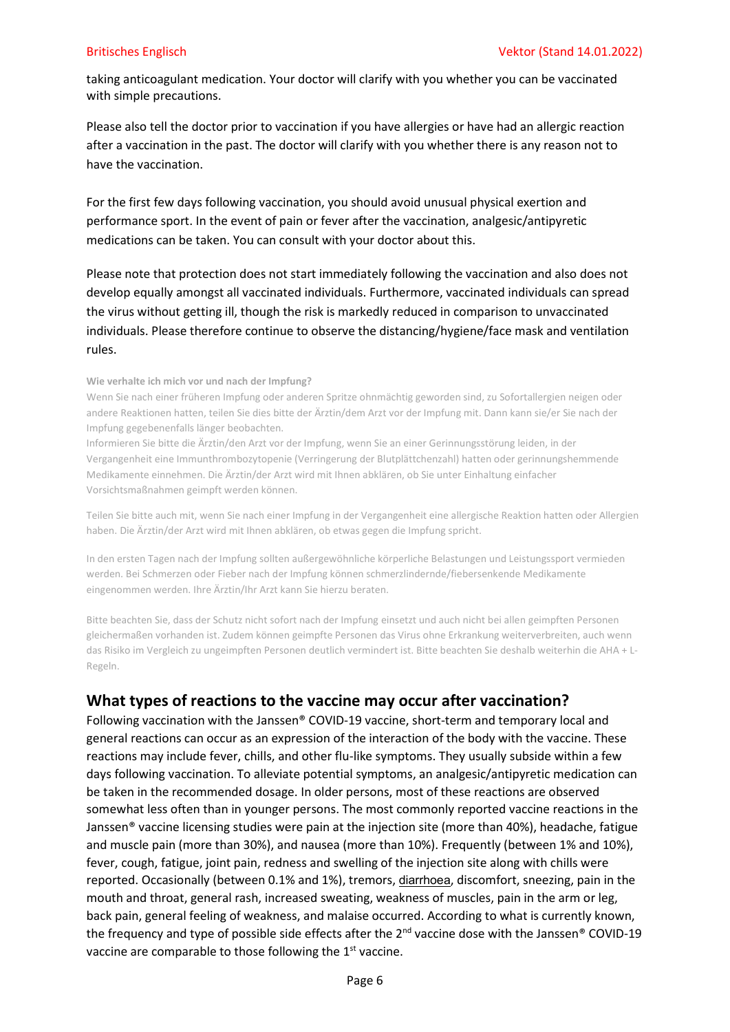taking anticoagulant medication. Your doctor will clarify with you whether you can be vaccinated with simple precautions.

Please also tell the doctor prior to vaccination if you have allergies or have had an allergic reaction after a vaccination in the past. The doctor will clarify with you whether there is any reason not to have the vaccination.

For the first few days following vaccination, you should avoid unusual physical exertion and performance sport. In the event of pain or fever after the vaccination, analgesic/antipyretic medications can be taken. You can consult with your doctor about this.

Please note that protection does not start immediately following the vaccination and also does not develop equally amongst all vaccinated individuals. Furthermore, vaccinated individuals can spread the virus without getting ill, though the risk is markedly reduced in comparison to unvaccinated individuals. Please therefore continue to observe the distancing/hygiene/face mask and ventilation rules.

### Wie verhalte ich mich vor und nach der Impfung?

Wenn Sie nach einer früheren Impfung oder anderen Spritze ohnmächtig geworden sind, zu Sofortallergien neigen oder andere Reaktionen hatten, teilen Sie dies bitte der Ärztin/dem Arzt vor der Impfung mit. Dann kann sie/er Sie nach der Impfung gegebenenfalls länger beobachten.

Informieren Sie bitte die Ärztin/den Arzt vor der Impfung, wenn Sie an einer Gerinnungsstörung leiden, in der Vergangenheit eine Immunthrombozytopenie (Verringerung der Blutplättchenzahl) hatten oder gerinnungshemmende Medikamente einnehmen. Die Ärztin/der Arzt wird mit Ihnen abklären, ob Sie unter Einhaltung einfacher Vorsichtsmaßnahmen geimpft werden können.

Teilen Sie bitte auch mit, wenn Sie nach einer Impfung in der Vergangenheit eine allergische Reaktion hatten oder Allergien haben. Die Ärztin/der Arzt wird mit Ihnen abklären, ob etwas gegen die Impfung spricht.

In den ersten Tagen nach der Impfung sollten außergewöhnliche körperliche Belastungen und Leistungssport vermieden werden. Bei Schmerzen oder Fieber nach der Impfung können schmerzlindernde/fiebersenkende Medikamente eingenommen werden. Ihre Ärztin/Ihr Arzt kann Sie hierzu beraten.

Bitte beachten Sie, dass der Schutz nicht sofort nach der Impfung einsetzt und auch nicht bei allen geimpften Personen gleichermaßen vorhanden ist. Zudem können geimpfte Personen das Virus ohne Erkrankung weiterverbreiten, auch wenn das Risiko im Vergleich zu ungeimpften Personen deutlich vermindert ist. Bitte beachten Sie deshalb weiterhin die AHA + L-Regeln.

# What types of reactions to the vaccine may occur after vaccination?

Following vaccination with the Janssen® COVID-19 vaccine, short-term and temporary local and general reactions can occur as an expression of the interaction of the body with the vaccine. These reactions may include fever, chills, and other flu-like symptoms. They usually subside within a few days following vaccination. To alleviate potential symptoms, an analgesic/antipyretic medication can be taken in the recommended dosage. In older persons, most of these reactions are observed somewhat less often than in younger persons. The most commonly reported vaccine reactions in the Janssen® vaccine licensing studies were pain at the injection site (more than 40%), headache, fatigue and muscle pain (more than 30%), and nausea (more than 10%). Frequently (between 1% and 10%), fever, cough, fatigue, joint pain, redness and swelling of the injection site along with chills were reported. Occasionally (between 0.1% and 1%), tremors, diarrhoea, discomfort, sneezing, pain in the mouth and throat, general rash, increased sweating, weakness of muscles, pain in the arm or leg, back pain, general feeling of weakness, and malaise occurred. According to what is currently known, the frequency and type of possible side effects after the 2<sup>nd</sup> vaccine dose with the Janssen<sup>®</sup> COVID-19 vaccine are comparable to those following the 1<sup>st</sup> vaccine.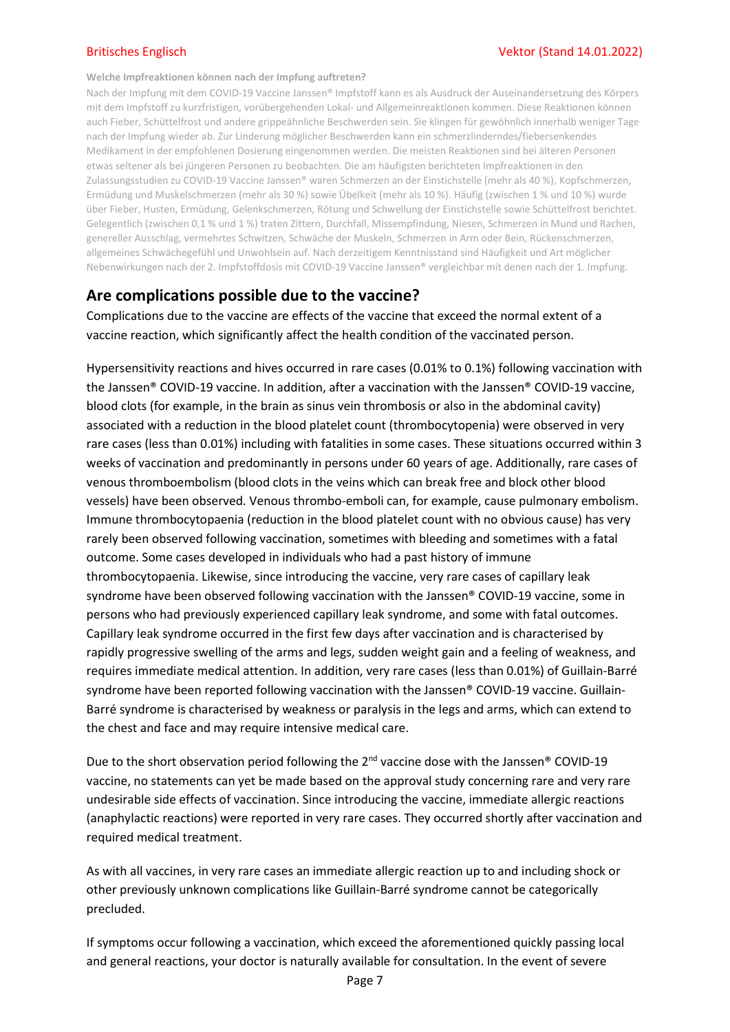### Welche Impfreaktionen können nach der Impfung auftreten?

Nach der Impfung mit dem COVID-19 Vaccine Janssen® Impfstoff kann es als Ausdruck der Auseinandersetzung des Körpers mit dem Impfstoff zu kurzfristigen, vorübergehenden Lokal- und Allgemeinreaktionen kommen. Diese Reaktionen können auch Fieber, Schüttelfrost und andere grippeähnliche Beschwerden sein. Sie klingen für gewöhnlich innerhalb weniger Tage nach der Impfung wieder ab. Zur Linderung möglicher Beschwerden kann ein schmerzlinderndes/fiebersenkendes Medikament in der empfohlenen Dosierung eingenommen werden. Die meisten Reaktionen sind bei älteren Personen etwas seltener als bei jüngeren Personen zu beobachten. Die am häufigsten berichteten Impfreaktionen in den Zulassungsstudien zu COVID-19 Vaccine Janssen® waren Schmerzen an der Einstichstelle (mehr als 40 %), Kopfschmerzen, Ermüdung und Muskelschmerzen (mehr als 30 %) sowie Übelkeit (mehr als 10 %). Häufig (zwischen 1 % und 10 %) wurde über Fieber, Husten, Ermüdung, Gelenkschmerzen, Rötung und Schwellung der Einstichstelle sowie Schüttelfrost berichtet. Gelegentlich (zwischen 0,1 % und 1 %) traten Zittern, Durchfall, Missempfindung, Niesen, Schmerzen in Mund und Rachen, genereller Ausschlag, vermehrtes Schwitzen, Schwäche der Muskeln, Schmerzen in Arm oder Bein, Rückenschmerzen, allgemeines Schwächegefühl und Unwohlsein auf. Nach derzeitigem Kenntnisstand sind Häufigkeit und Art möglicher Nebenwirkungen nach der 2. Impfstoffdosis mit COVID-19 Vaccine Janssen® vergleichbar mit denen nach der 1. Impfung.

## Are complications possible due to the vaccine?

Complications due to the vaccine are effects of the vaccine that exceed the normal extent of a vaccine reaction, which significantly affect the health condition of the vaccinated person.

Hypersensitivity reactions and hives occurred in rare cases (0.01% to 0.1%) following vaccination with the Janssen® COVID-19 vaccine. In addition, after a vaccination with the Janssen® COVID-19 vaccine, blood clots (for example, in the brain as sinus vein thrombosis or also in the abdominal cavity) associated with a reduction in the blood platelet count (thrombocytopenia) were observed in very rare cases (less than 0.01%) including with fatalities in some cases. These situations occurred within 3 weeks of vaccination and predominantly in persons under 60 years of age. Additionally, rare cases of venous thromboembolism (blood clots in the veins which can break free and block other blood vessels) have been observed. Venous thrombo-emboli can, for example, cause pulmonary embolism. Immune thrombocytopaenia (reduction in the blood platelet count with no obvious cause) has very rarely been observed following vaccination, sometimes with bleeding and sometimes with a fatal outcome. Some cases developed in individuals who had a past history of immune thrombocytopaenia. Likewise, since introducing the vaccine, very rare cases of capillary leak syndrome have been observed following vaccination with the Janssen® COVID-19 vaccine, some in persons who had previously experienced capillary leak syndrome, and some with fatal outcomes. Capillary leak syndrome occurred in the first few days after vaccination and is characterised by rapidly progressive swelling of the arms and legs, sudden weight gain and a feeling of weakness, and requires immediate medical attention. In addition, very rare cases (less than 0.01%) of Guillain-Barré syndrome have been reported following vaccination with the Janssen® COVID-19 vaccine. Guillain-Barré syndrome is characterised by weakness or paralysis in the legs and arms, which can extend to the chest and face and may require intensive medical care.

Due to the short observation period following the 2<sup>nd</sup> vaccine dose with the Janssen<sup>®</sup> COVID-19 vaccine, no statements can yet be made based on the approval study concerning rare and very rare undesirable side effects of vaccination. Since introducing the vaccine, immediate allergic reactions (anaphylactic reactions) were reported in very rare cases. They occurred shortly after vaccination and required medical treatment.

As with all vaccines, in very rare cases an immediate allergic reaction up to and including shock or other previously unknown complications like Guillain-Barré syndrome cannot be categorically precluded.

If symptoms occur following a vaccination, which exceed the aforementioned quickly passing local and general reactions, your doctor is naturally available for consultation. In the event of severe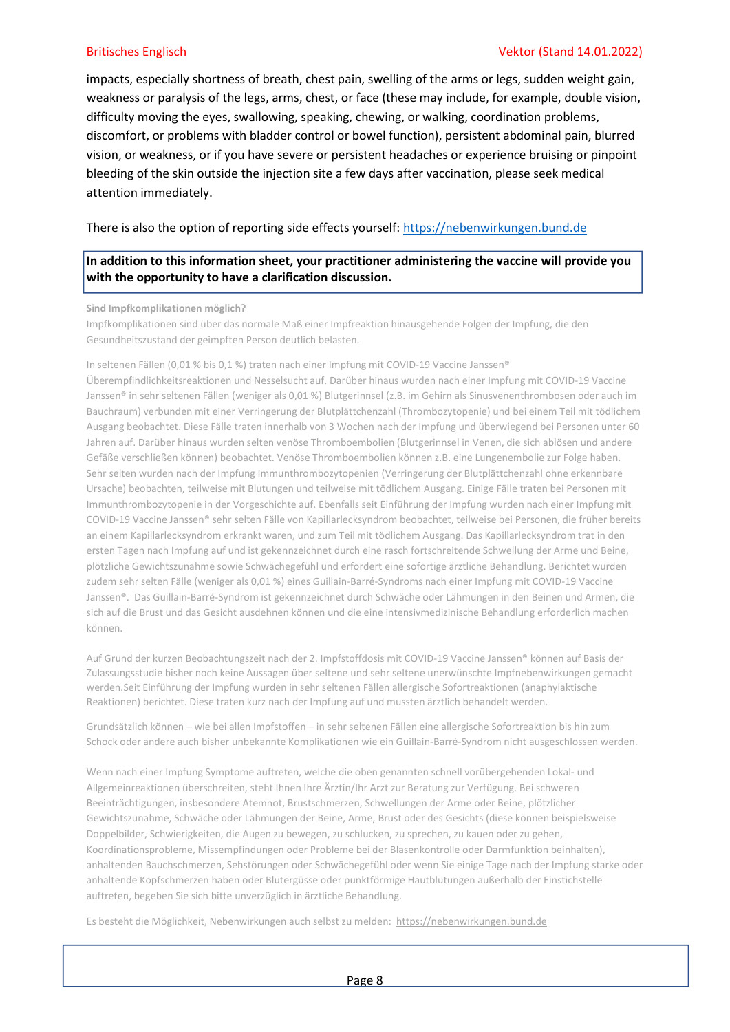### Britisches Englisch Vektor (Stand 14.01.2022)

impacts, especially shortness of breath, chest pain, swelling of the arms or legs, sudden weight gain, weakness or paralysis of the legs, arms, chest, or face (these may include, for example, double vision, difficulty moving the eyes, swallowing, speaking, chewing, or walking, coordination problems, discomfort, or problems with bladder control or bowel function), persistent abdominal pain, blurred vision, or weakness, or if you have severe or persistent headaches or experience bruising or pinpoint bleeding of the skin outside the injection site a few days after vaccination, please seek medical attention immediately.

There is also the option of reporting side effects yourself: https://nebenwirkungen.bund.de

## In addition to this information sheet, your practitioner administering the vaccine will provide you with the opportunity to have a clarification discussion.

Sind Impfkomplikationen möglich?

Impfkomplikationen sind über das normale Maß einer Impfreaktion hinausgehende Folgen der Impfung, die den Gesundheitszustand der geimpften Person deutlich belasten.

In seltenen Fällen (0,01 % bis 0,1 %) traten nach einer Impfung mit COVID-19 Vaccine Janssen®

Überempfindlichkeitsreaktionen und Nesselsucht auf. Darüber hinaus wurden nach einer Impfung mit COVID-19 Vaccine Janssen® in sehr seltenen Fällen (weniger als 0,01 %) Blutgerinnsel (z.B. im Gehirn als Sinusvenenthrombosen oder auch im Bauchraum) verbunden mit einer Verringerung der Blutplättchenzahl (Thrombozytopenie) und bei einem Teil mit tödlichem Ausgang beobachtet. Diese Fälle traten innerhalb von 3 Wochen nach der Impfung und überwiegend bei Personen unter 60 Jahren auf. Darüber hinaus wurden selten venöse Thromboembolien (Blutgerinnsel in Venen, die sich ablösen und andere Gefäße verschließen können) beobachtet. Venöse Thromboembolien können z.B. eine Lungenembolie zur Folge haben. Sehr selten wurden nach der Impfung Immunthrombozytopenien (Verringerung der Blutplättchenzahl ohne erkennbare Ursache) beobachten, teilweise mit Blutungen und teilweise mit tödlichem Ausgang. Einige Fälle traten bei Personen mit Immunthrombozytopenie in der Vorgeschichte auf. Ebenfalls seit Einführung der Impfung wurden nach einer Impfung mit COVID-19 Vaccine Janssen® sehr selten Fälle von Kapillarlecksyndrom beobachtet, teilweise bei Personen, die früher bereits an einem Kapillarlecksyndrom erkrankt waren, und zum Teil mit tödlichem Ausgang. Das Kapillarlecksyndrom trat in den ersten Tagen nach Impfung auf und ist gekennzeichnet durch eine rasch fortschreitende Schwellung der Arme und Beine, plötzliche Gewichtszunahme sowie Schwächegefühl und erfordert eine sofortige ärztliche Behandlung. Berichtet wurden zudem sehr selten Fälle (weniger als 0,01 %) eines Guillain-Barré-Syndroms nach einer Impfung mit COVID-19 Vaccine Janssen®. Das Guillain-Barré-Syndrom ist gekennzeichnet durch Schwäche oder Lähmungen in den Beinen und Armen, die sich auf die Brust und das Gesicht ausdehnen können und die eine intensivmedizinische Behandlung erforderlich machen können.

Auf Grund der kurzen Beobachtungszeit nach der 2. Impfstoffdosis mit COVID-19 Vaccine Janssen® können auf Basis der Zulassungsstudie bisher noch keine Aussagen über seltene und sehr seltene unerwünschte Impfnebenwirkungen gemacht werden.Seit Einführung der Impfung wurden in sehr seltenen Fällen allergische Sofortreaktionen (anaphylaktische Reaktionen) berichtet. Diese traten kurz nach der Impfung auf und mussten ärztlich behandelt werden.

Grundsätzlich können – wie bei allen Impfstoffen – in sehr seltenen Fällen eine allergische Sofortreaktion bis hin zum Schock oder andere auch bisher unbekannte Komplikationen wie ein Guillain-Barré-Syndrom nicht ausgeschlossen werden.

Wenn nach einer Impfung Symptome auftreten, welche die oben genannten schnell vorübergehenden Lokal- und Allgemeinreaktionen überschreiten, steht Ihnen Ihre Ärztin/Ihr Arzt zur Beratung zur Verfügung. Bei schweren Beeinträchtigungen, insbesondere Atemnot, Brustschmerzen, Schwellungen der Arme oder Beine, plötzlicher Gewichtszunahme, Schwäche oder Lähmungen der Beine, Arme, Brust oder des Gesichts (diese können beispielsweise Doppelbilder, Schwierigkeiten, die Augen zu bewegen, zu schlucken, zu sprechen, zu kauen oder zu gehen, Koordinationsprobleme, Missempfindungen oder Probleme bei der Blasenkontrolle oder Darmfunktion beinhalten), anhaltenden Bauchschmerzen, Sehstörungen oder Schwächegefühl oder wenn Sie einige Tage nach der Impfung starke oder anhaltende Kopfschmerzen haben oder Blutergüsse oder punktförmige Hautblutungen außerhalb der Einstichstelle auftreten, begeben Sie sich bitte unverzüglich in ärztliche Behandlung.

Es besteht die Möglichkeit, Nebenwirkungen auch selbst zu melden: https://nebenwirkungen.bund.de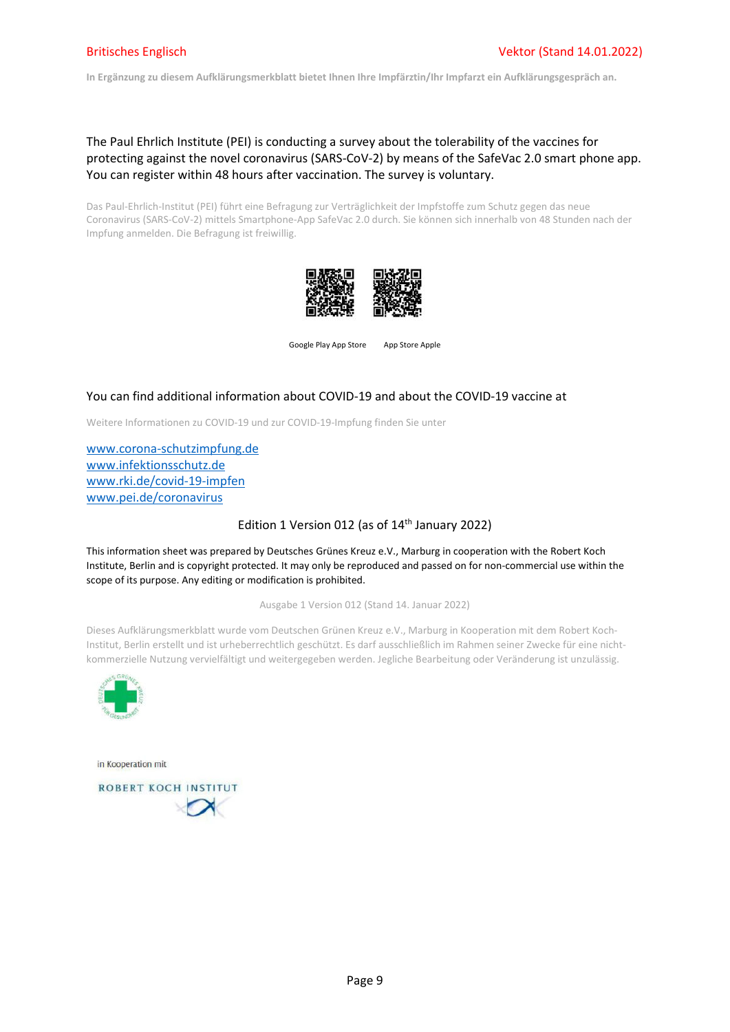In Ergänzung zu diesem Aufklärungsmerkblatt bietet Ihnen Ihre Impfärztin/Ihr Impfarzt ein Aufklärungsgespräch an.

## The Paul Ehrlich Institute (PEI) is conducting a survey about the tolerability of the vaccines for protecting against the novel coronavirus (SARS-CoV-2) by means of the SafeVac 2.0 smart phone app. You can register within 48 hours after vaccination. The survey is voluntary.

Das Paul-Ehrlich-Institut (PEI) führt eine Befragung zur Verträglichkeit der Impfstoffe zum Schutz gegen das neue Coronavirus (SARS-CoV-2) mittels Smartphone-App SafeVac 2.0 durch. Sie können sich innerhalb von 48 Stunden nach der Impfung anmelden. Die Befragung ist freiwillig.



Google Play App Store App Store Apple

## You can find additional information about COVID-19 and about the COVID-19 vaccine at

Weitere Informationen zu COVID-19 und zur COVID-19-Impfung finden Sie unter

www.corona-schutzimpfung.de www.infektionsschutz.de www.rki.de/covid-19-impfen www.pei.de/coronavirus

### Edition 1 Version 012 (as of 14<sup>th</sup> January 2022)

This information sheet was prepared by Deutsches Grünes Kreuz e.V., Marburg in cooperation with the Robert Koch Institute, Berlin and is copyright protected. It may only be reproduced and passed on for non-commercial use within the scope of its purpose. Any editing or modification is prohibited.

Ausgabe 1 Version 012 (Stand 14. Januar 2022)

Dieses Aufklärungsmerkblatt wurde vom Deutschen Grünen Kreuz e.V., Marburg in Kooperation mit dem Robert Koch-Institut, Berlin erstellt und ist urheberrechtlich geschützt. Es darf ausschließlich im Rahmen seiner Zwecke für eine nichtkommerzielle Nutzung vervielfältigt und weitergegeben werden. Jegliche Bearbeitung oder Veränderung ist unzulässig.



in Kooperation mit

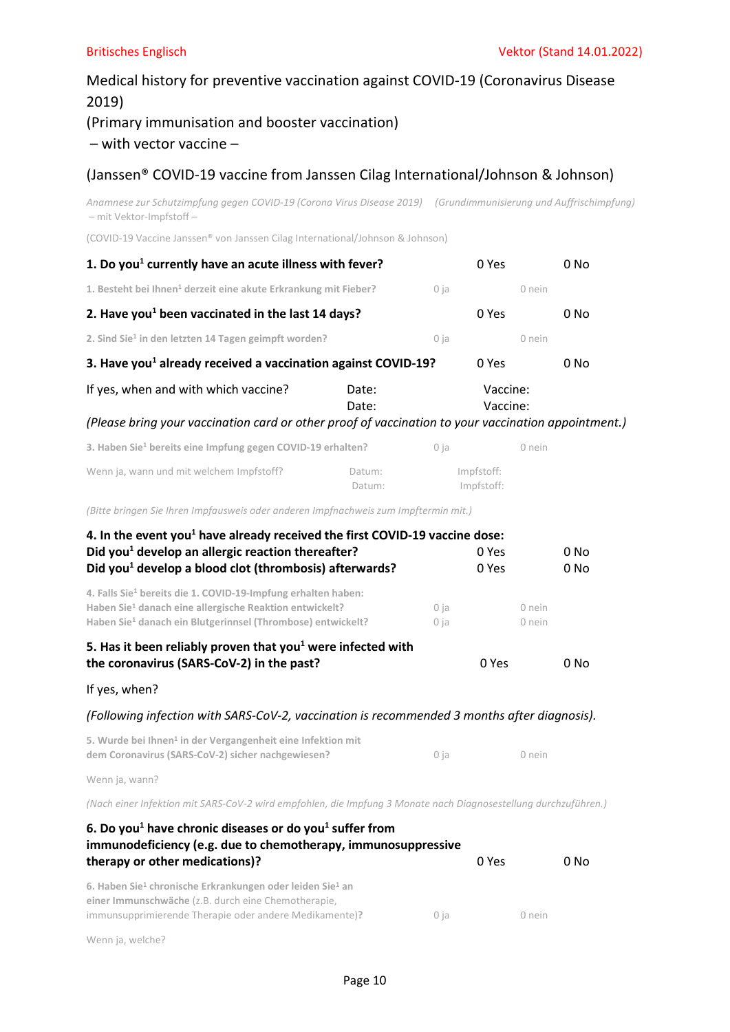# Medical history for preventive vaccination against COVID-19 (Coronavirus Disease 2019) (Primary immunisation and booster vaccination)

## – with vector vaccine –

## (Janssen® COVID-19 vaccine from Janssen Cilag International/Johnson & Johnson)

Anamnese zur Schutzimpfung gegen COVID-19 (Corona Virus Disease 2019) (Grundimmunisierung und Auffrischimpfung) – mit Vektor-Impfstoff –

(COVID-19 Vaccine Janssen® von Janssen Cilag International/Johnson & Johnson)

| 1. Do you <sup>1</sup> currently have an acute illness with fever?                                  |                  |                          | 0 Yes                |        | 0 No |
|-----------------------------------------------------------------------------------------------------|------------------|--------------------------|----------------------|--------|------|
| 1. Besteht bei Ihnen <sup>1</sup> derzeit eine akute Erkrankung mit Fieber?                         |                  | 0 ja                     |                      | 0 nein |      |
| 2. Have you <sup>1</sup> been vaccinated in the last 14 days?                                       |                  |                          | 0 Yes                |        | 0 No |
| 2. Sind Sie <sup>1</sup> in den letzten 14 Tagen geimpft worden?                                    |                  | 0 ja                     |                      | 0 nein |      |
| 3. Have you <sup>1</sup> already received a vaccination against COVID-19?                           |                  |                          | 0 Yes                |        | 0 No |
| If yes, when and with which vaccine?                                                                | Date:<br>Date:   |                          | Vaccine:<br>Vaccine: |        |      |
| (Please bring your vaccination card or other proof of vaccination to your vaccination appointment.) |                  |                          |                      |        |      |
| 3. Haben Sie <sup>1</sup> bereits eine Impfung gegen COVID-19 erhalten?                             |                  | 0 ja                     |                      | 0 nein |      |
| Wenn ja, wann und mit welchem Impfstoff?                                                            | Datum:<br>Datum: | Impfstoff:<br>Impfstoff: |                      |        |      |
| (Bitte bringen Sie Ihren Impfausweis oder anderen Impfnachweis zum Impftermin mit.)                 |                  |                          |                      |        |      |
| 4. In the event you <sup>1</sup> have already received the first COVID-19 vaccine dose:             |                  |                          |                      |        |      |
| Did you <sup>1</sup> develop an allergic reaction thereafter?                                       |                  |                          | 0 Yes                |        | 0 No |
| Did you <sup>1</sup> develop a blood clot (thrombosis) afterwards?                                  |                  |                          | 0 Yes                |        | 0 No |
| 4. Falls Sie <sup>1</sup> bereits die 1. COVID-19-Impfung erhalten haben:                           |                  |                          |                      |        |      |

Haben Sie<sup>1</sup> danach ein Blutgerinnsel (Thrombose) entwickelt? 0 ja 0 nein 5. Has it been reliably proven that you<sup>1</sup> were infected with

| the coronavirus (SARS-CoV-2) in the past? | 0 Yes | 0 No |
|-------------------------------------------|-------|------|
|                                           |       |      |

If yes, when?

(Following infection with SARS-CoV-2, vaccination is recommended 3 months after diagnosis).

| 5. Wurde bei Ihnen <sup>1</sup> in der Vergangenheit eine Infektion mit |      |        |
|-------------------------------------------------------------------------|------|--------|
| dem Coronavirus (SARS-CoV-2) sicher nachgewiesen?                       | 0 ia | 0 nein |

Haben Sie<sup>1</sup> danach eine allergische Reaktion entwickelt? **1988** 0 ja bein bein

Wenn ja, wann?

(Nach einer Infektion mit SARS-CoV-2 wird empfohlen, die Impfung 3 Monate nach Diagnosestellung durchzuführen.)

| 6. Do you <sup>1</sup> have chronic diseases or do you <sup>1</sup> suffer from<br>immunodeficiency (e.g. due to chemotherapy, immunosuppressive<br>therapy or other medications)?                 |      | 0 Yes  | 0 No |
|----------------------------------------------------------------------------------------------------------------------------------------------------------------------------------------------------|------|--------|------|
| 6. Haben Sie <sup>1</sup> chronische Erkrankungen oder leiden Sie <sup>1</sup> an<br>einer Immunschwäche (z.B. durch eine Chemotherapie,<br>immunsupprimierende Therapie oder andere Medikamente)? | 0 ia | 0 nein |      |

Wenn ja, welche?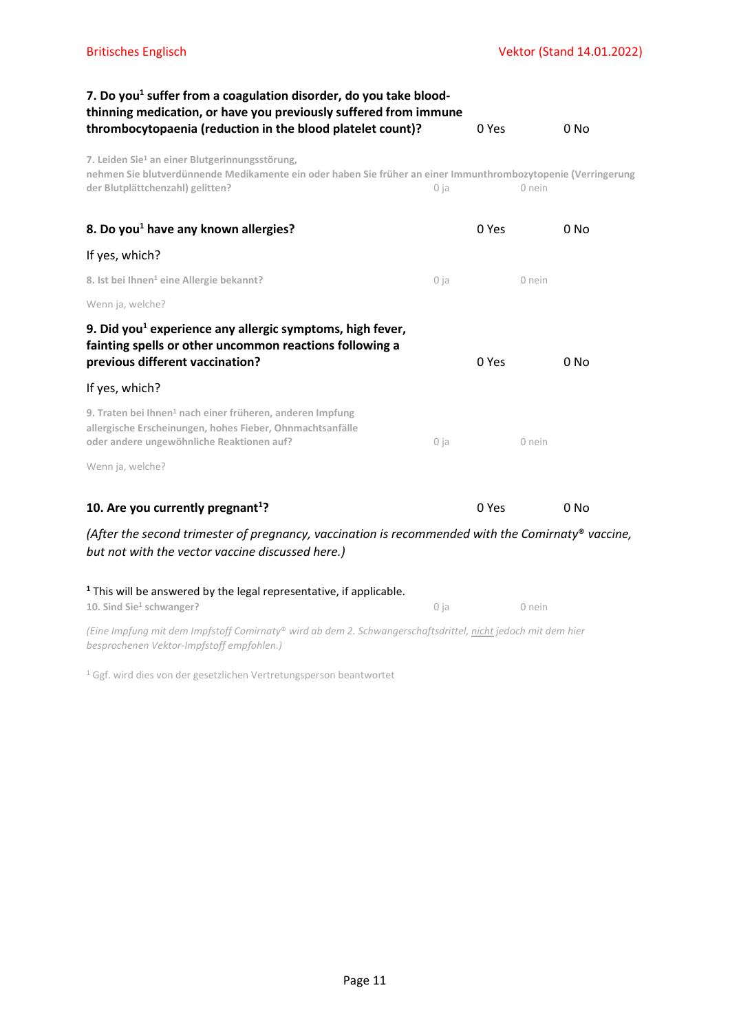| 7. Do you <sup>1</sup> suffer from a coagulation disorder, do you take blood-<br>thinning medication, or have you previously suffered from immune                                                               |        |       |        |                 |
|-----------------------------------------------------------------------------------------------------------------------------------------------------------------------------------------------------------------|--------|-------|--------|-----------------|
| thrombocytopaenia (reduction in the blood platelet count)?                                                                                                                                                      |        | 0 Yes |        | 0 No            |
| 7. Leiden Sie <sup>1</sup> an einer Blutgerinnungsstörung,<br>nehmen Sie blutverdünnende Medikamente ein oder haben Sie früher an einer Immunthrombozytopenie (Verringerung<br>der Blutplättchenzahl) gelitten? | 0 ja   |       | 0 nein |                 |
| 8. Do you <sup>1</sup> have any known allergies?                                                                                                                                                                |        | 0 Yes |        | $0$ No          |
| If yes, which?                                                                                                                                                                                                  |        |       |        |                 |
| 8. Ist bei Ihnen <sup>1</sup> eine Allergie bekannt?                                                                                                                                                            | $0$ ja |       | 0 nein |                 |
| Wenn ja, welche?                                                                                                                                                                                                |        |       |        |                 |
| 9. Did you <sup>1</sup> experience any allergic symptoms, high fever,<br>fainting spells or other uncommon reactions following a<br>previous different vaccination?                                             |        | 0 Yes |        | 0 No            |
| If yes, which?                                                                                                                                                                                                  |        |       |        |                 |
| 9. Traten bei Ihnen <sup>1</sup> nach einer früheren, anderen Impfung<br>allergische Erscheinungen, hohes Fieber, Ohnmachtsanfälle<br>oder andere ungewöhnliche Reaktionen auf?                                 | 0 ja   |       | 0 nein |                 |
| Wenn ja, welche?                                                                                                                                                                                                |        |       |        |                 |
| 10. Are you currently pregnant <sup>1</sup> ?                                                                                                                                                                   |        | 0 Yes |        | 0 <sub>No</sub> |
| (After the second trimester of pregnancy, vaccination is recommended with the Comirnaty® vaccine,<br>but not with the vector vaccine discussed here.)                                                           |        |       |        |                 |
| <sup>1</sup> This will be answered by the legal representative, if applicable.<br>10. Sind Sie <sup>1</sup> schwanger?                                                                                          | 0 ja   |       | 0 nein |                 |

(Eine Impfung mit dem Impfstoff Comirnaty® wird ab dem 2. Schwangerschaftsdrittel, nicht jedoch mit dem hier besprochenen Vektor-Impfstoff empfohlen.)

1 Ggf. wird dies von der gesetzlichen Vertretungsperson beantwortet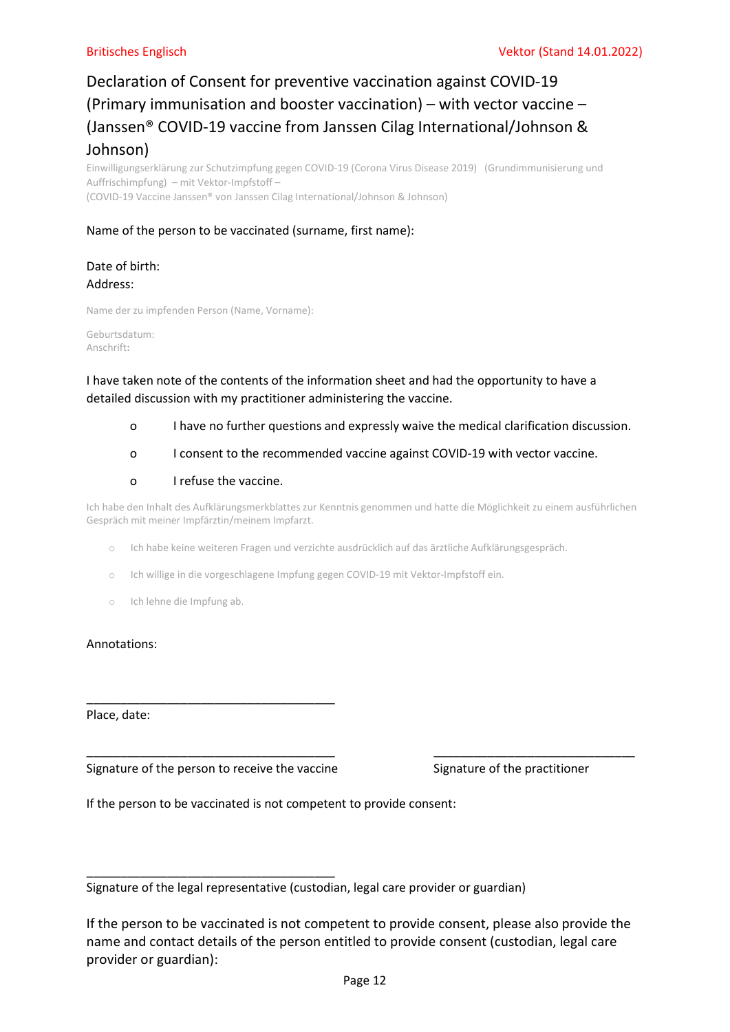# Declaration of Consent for preventive vaccination against COVID-19 (Primary immunisation and booster vaccination) – with vector vaccine – (Janssen® COVID-19 vaccine from Janssen Cilag International/Johnson & Johnson)

Einwilligungserklärung zur Schutzimpfung gegen COVID-19 (Corona Virus Disease 2019) (Grundimmunisierung und Auffrischimpfung) – mit Vektor-Impfstoff – (COVID-19 Vaccine Janssen® von Janssen Cilag International/Johnson & Johnson)

## Name of the person to be vaccinated (surname, first name):

## Date of birth: Address:

Name der zu impfenden Person (Name, Vorname):

Geburtsdatum: Anschrift:

## I have taken note of the contents of the information sheet and had the opportunity to have a detailed discussion with my practitioner administering the vaccine.

- o I have no further questions and expressly waive the medical clarification discussion.
- o I consent to the recommended vaccine against COVID-19 with vector vaccine.

## o I refuse the vaccine.

Ich habe den Inhalt des Aufklärungsmerkblattes zur Kenntnis genommen und hatte die Möglichkeit zu einem ausführlichen Gespräch mit meiner Impfärztin/meinem Impfarzt.

- o Ich habe keine weiteren Fragen und verzichte ausdrücklich auf das ärztliche Aufklärungsgespräch.
- o Ich willige in die vorgeschlagene Impfung gegen COVID-19 mit Vektor-Impfstoff ein.
- o Ich lehne die Impfung ab.

### Annotations:

Place, date:

Signature of the person to receive the vaccine Signature of the practitioner

\_\_\_\_\_\_\_\_\_\_\_\_\_\_\_\_\_\_\_\_\_\_\_\_\_\_\_\_\_\_\_\_\_\_\_\_\_

\_\_\_\_\_\_\_\_\_\_\_\_\_\_\_\_\_\_\_\_\_\_\_\_\_\_\_\_\_\_\_\_\_\_\_\_\_

If the person to be vaccinated is not competent to provide consent:

Signature of the legal representative (custodian, legal care provider or guardian)

If the person to be vaccinated is not competent to provide consent, please also provide the name and contact details of the person entitled to provide consent (custodian, legal care provider or guardian):

\_\_\_\_\_\_\_\_\_\_\_\_\_\_\_\_\_\_\_\_\_\_\_\_\_\_\_\_\_\_\_\_\_\_\_\_\_ \_\_\_\_\_\_\_\_\_\_\_\_\_\_\_\_\_\_\_\_\_\_\_\_\_\_\_\_\_\_